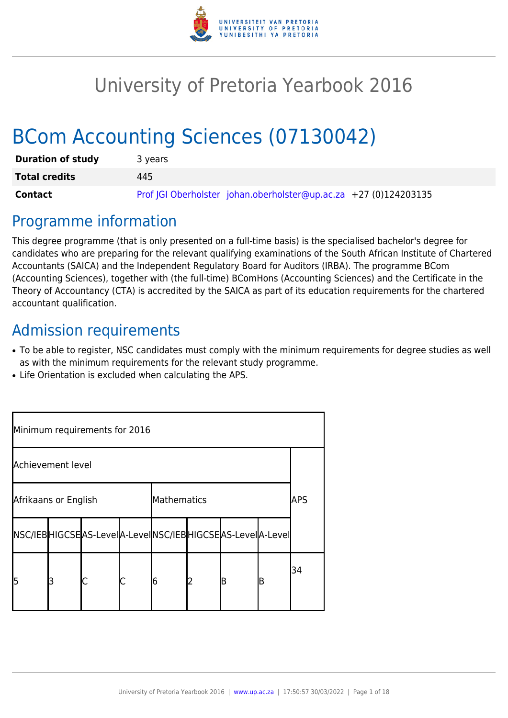

# University of Pretoria Yearbook 2016

# BCom Accounting Sciences (07130042)

| <b>Duration of study</b> | 3 years                                                          |
|--------------------------|------------------------------------------------------------------|
| <b>Total credits</b>     | 445                                                              |
| Contact                  | Prof JGI Oberholster johan.oberholster@up.ac.za +27 (0)124203135 |

# Programme information

This degree programme (that is only presented on a full-time basis) is the specialised bachelor's degree for candidates who are preparing for the relevant qualifying examinations of the South African Institute of Chartered Accountants (SAICA) and the Independent Regulatory Board for Auditors (IRBA). The programme BCom (Accounting Sciences), together with (the full-time) BComHons (Accounting Sciences) and the Certificate in the Theory of Accountancy (CTA) is accredited by the SAICA as part of its education requirements for the chartered accountant qualification.

# Admission requirements

- To be able to register, NSC candidates must comply with the minimum requirements for degree studies as well as with the minimum requirements for the relevant study programme.
- Life Orientation is excluded when calculating the APS.

| Minimum requirements for 2016 |   |                                                          |  |             |   |   |   |     |
|-------------------------------|---|----------------------------------------------------------|--|-------------|---|---|---|-----|
| Achievement level             |   |                                                          |  |             |   |   |   |     |
| Afrikaans or English          |   |                                                          |  | Mathematics |   |   |   | APS |
|                               |   | NSC/IEBHIGCSEAS-LevelA-LevelNSC/IEBHIGCSEAS-LevelA-Level |  |             |   |   |   |     |
| l5                            | З |                                                          |  | 16          | 2 | B | B | 34  |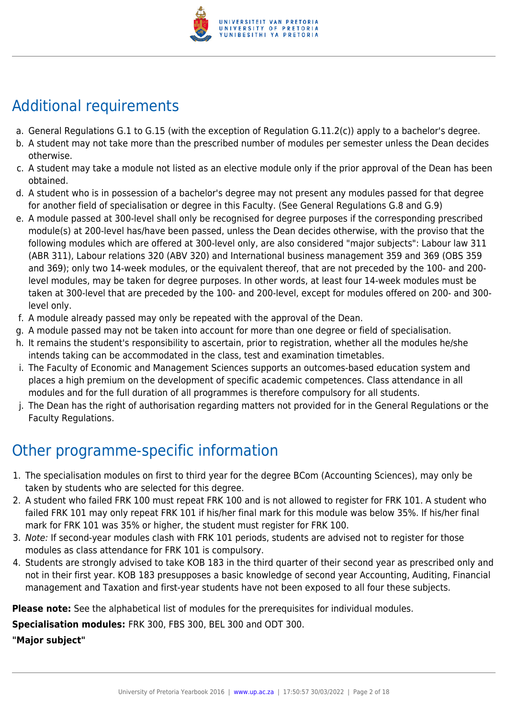

# Additional requirements

- a. General Regulations G.1 to G.15 (with the exception of Regulation G.11.2(c)) apply to a bachelor's degree.
- b. A student may not take more than the prescribed number of modules per semester unless the Dean decides otherwise.
- c. A student may take a module not listed as an elective module only if the prior approval of the Dean has been obtained.
- d. A student who is in possession of a bachelor's degree may not present any modules passed for that degree for another field of specialisation or degree in this Faculty. (See General Regulations G.8 and G.9)
- e. A module passed at 300-level shall only be recognised for degree purposes if the corresponding prescribed module(s) at 200-level has/have been passed, unless the Dean decides otherwise, with the proviso that the following modules which are offered at 300-level only, are also considered "major subjects": Labour law 311 (ABR 311), Labour relations 320 (ABV 320) and International business management 359 and 369 (OBS 359 and 369); only two 14-week modules, or the equivalent thereof, that are not preceded by the 100- and 200 level modules, may be taken for degree purposes. In other words, at least four 14-week modules must be taken at 300-level that are preceded by the 100- and 200-level, except for modules offered on 200- and 300 level only.
- f. A module already passed may only be repeated with the approval of the Dean.
- g. A module passed may not be taken into account for more than one degree or field of specialisation.
- h. It remains the student's responsibility to ascertain, prior to registration, whether all the modules he/she intends taking can be accommodated in the class, test and examination timetables.
- i. The Faculty of Economic and Management Sciences supports an outcomes-based education system and places a high premium on the development of specific academic competences. Class attendance in all modules and for the full duration of all programmes is therefore compulsory for all students.
- j. The Dean has the right of authorisation regarding matters not provided for in the General Regulations or the Faculty Regulations.

# Other programme-specific information

- 1. The specialisation modules on first to third year for the degree BCom (Accounting Sciences), may only be taken by students who are selected for this degree.
- 2. A student who failed FRK 100 must repeat FRK 100 and is not allowed to register for FRK 101. A student who failed FRK 101 may only repeat FRK 101 if his/her final mark for this module was below 35%. If his/her final mark for FRK 101 was 35% or higher, the student must register for FRK 100.
- 3. Note: If second-year modules clash with FRK 101 periods, students are advised not to register for those modules as class attendance for FRK 101 is compulsory.
- 4. Students are strongly advised to take KOB 183 in the third quarter of their second year as prescribed only and not in their first year. KOB 183 presupposes a basic knowledge of second year Accounting, Auditing, Financial management and Taxation and first-year students have not been exposed to all four these subjects.

**Please note:** See the alphabetical list of modules for the prerequisites for individual modules.

**Specialisation modules:** FRK 300, FBS 300, BEL 300 and ODT 300.

**"Major subject"**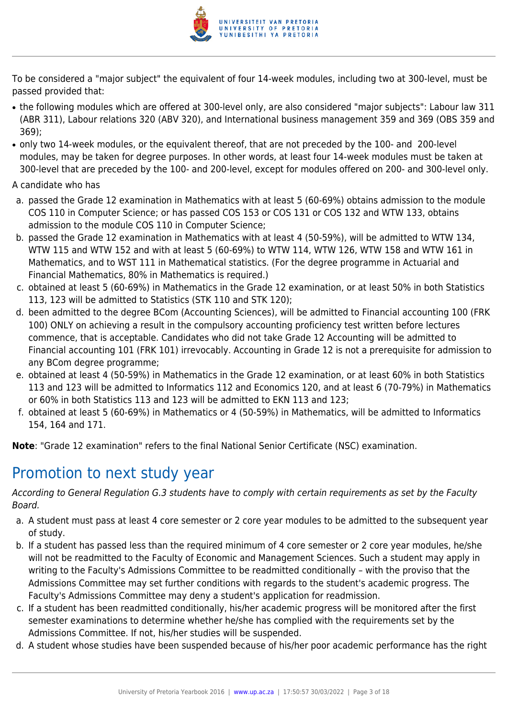

To be considered a "major subject" the equivalent of four 14-week modules, including two at 300-level, must be passed provided that:

- the following modules which are offered at 300-level only, are also considered "major subjects": Labour law 311 (ABR 311), Labour relations 320 (ABV 320), and International business management 359 and 369 (OBS 359 and 369);
- only two 14-week modules, or the equivalent thereof, that are not preceded by the 100- and 200-level modules, may be taken for degree purposes. In other words, at least four 14-week modules must be taken at 300-level that are preceded by the 100- and 200-level, except for modules offered on 200- and 300-level only.

A candidate who has

- a. passed the Grade 12 examination in Mathematics with at least 5 (60-69%) obtains admission to the module COS 110 in Computer Science; or has passed COS 153 or COS 131 or COS 132 and WTW 133, obtains admission to the module COS 110 in Computer Science;
- b. passed the Grade 12 examination in Mathematics with at least 4 (50-59%), will be admitted to WTW 134, WTW 115 and WTW 152 and with at least 5 (60-69%) to WTW 114, WTW 126, WTW 158 and WTW 161 in Mathematics, and to WST 111 in Mathematical statistics. (For the degree programme in Actuarial and Financial Mathematics, 80% in Mathematics is required.)
- c. obtained at least 5 (60-69%) in Mathematics in the Grade 12 examination, or at least 50% in both Statistics 113, 123 will be admitted to Statistics (STK 110 and STK 120);
- d. been admitted to the degree BCom (Accounting Sciences), will be admitted to Financial accounting 100 (FRK 100) ONLY on achieving a result in the compulsory accounting proficiency test written before lectures commence, that is acceptable. Candidates who did not take Grade 12 Accounting will be admitted to Financial accounting 101 (FRK 101) irrevocably. Accounting in Grade 12 is not a prerequisite for admission to any BCom degree programme;
- e. obtained at least 4 (50-59%) in Mathematics in the Grade 12 examination, or at least 60% in both Statistics 113 and 123 will be admitted to Informatics 112 and Economics 120, and at least 6 (70-79%) in Mathematics or 60% in both Statistics 113 and 123 will be admitted to EKN 113 and 123;
- f. obtained at least 5 (60-69%) in Mathematics or 4 (50-59%) in Mathematics, will be admitted to Informatics 154, 164 and 171.

**Note**: "Grade 12 examination" refers to the final National Senior Certificate (NSC) examination.

# Promotion to next study year

According to General Regulation G.3 students have to comply with certain requirements as set by the Faculty Board.

- a. A student must pass at least 4 core semester or 2 core year modules to be admitted to the subsequent year of study.
- b. If a student has passed less than the required minimum of 4 core semester or 2 core year modules, he/she will not be readmitted to the Faculty of Economic and Management Sciences. Such a student may apply in writing to the Faculty's Admissions Committee to be readmitted conditionally – with the proviso that the Admissions Committee may set further conditions with regards to the student's academic progress. The Faculty's Admissions Committee may deny a student's application for readmission.
- c. If a student has been readmitted conditionally, his/her academic progress will be monitored after the first semester examinations to determine whether he/she has complied with the requirements set by the Admissions Committee. If not, his/her studies will be suspended.
- d. A student whose studies have been suspended because of his/her poor academic performance has the right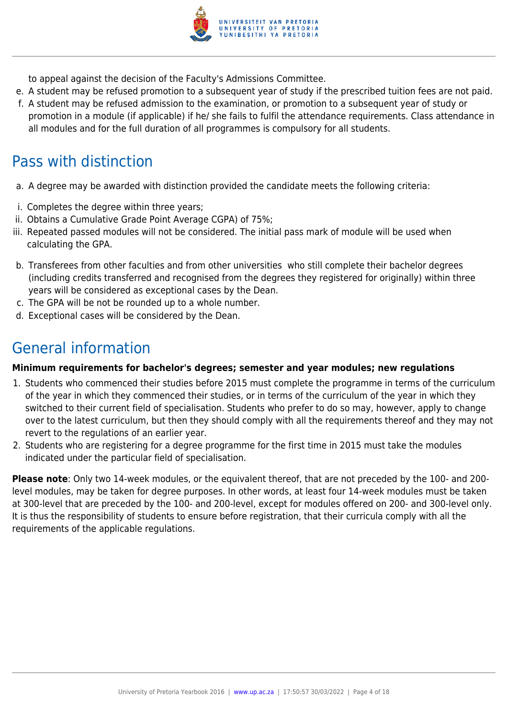

to appeal against the decision of the Faculty's Admissions Committee.

- e. A student may be refused promotion to a subsequent year of study if the prescribed tuition fees are not paid.
- f. A student may be refused admission to the examination, or promotion to a subsequent year of study or promotion in a module (if applicable) if he/ she fails to fulfil the attendance requirements. Class attendance in all modules and for the full duration of all programmes is compulsory for all students.

# Pass with distinction

- a. A degree may be awarded with distinction provided the candidate meets the following criteria:
- i. Completes the degree within three years;
- ii. Obtains a Cumulative Grade Point Average CGPA) of 75%;
- iii. Repeated passed modules will not be considered. The initial pass mark of module will be used when calculating the GPA.
- b. Transferees from other faculties and from other universities who still complete their bachelor degrees (including credits transferred and recognised from the degrees they registered for originally) within three years will be considered as exceptional cases by the Dean.
- c. The GPA will be not be rounded up to a whole number.
- d. Exceptional cases will be considered by the Dean.

# General information

#### **Minimum requirements for bachelor's degrees; semester and year modules; new regulations**

- 1. Students who commenced their studies before 2015 must complete the programme in terms of the curriculum of the year in which they commenced their studies, or in terms of the curriculum of the year in which they switched to their current field of specialisation. Students who prefer to do so may, however, apply to change over to the latest curriculum, but then they should comply with all the requirements thereof and they may not revert to the regulations of an earlier year.
- 2. Students who are registering for a degree programme for the first time in 2015 must take the modules indicated under the particular field of specialisation.

**Please note**: Only two 14-week modules, or the equivalent thereof, that are not preceded by the 100- and 200 level modules, may be taken for degree purposes. In other words, at least four 14-week modules must be taken at 300-level that are preceded by the 100- and 200-level, except for modules offered on 200- and 300-level only. It is thus the responsibility of students to ensure before registration, that their curricula comply with all the requirements of the applicable regulations.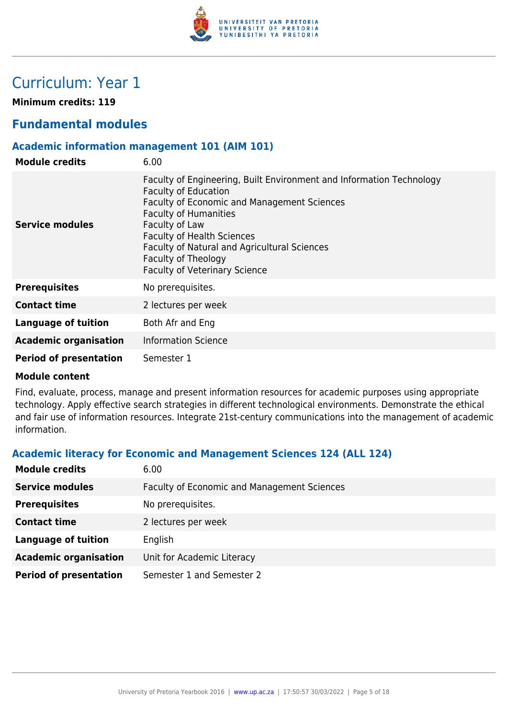

# Curriculum: Year 1

**Minimum credits: 119**

# **Fundamental modules**

#### **Academic information management 101 (AIM 101)**

| <b>Module credits</b>         | 6.00                                                                                                                                                                                                                                                                                                                                                     |
|-------------------------------|----------------------------------------------------------------------------------------------------------------------------------------------------------------------------------------------------------------------------------------------------------------------------------------------------------------------------------------------------------|
| Service modules               | Faculty of Engineering, Built Environment and Information Technology<br><b>Faculty of Education</b><br>Faculty of Economic and Management Sciences<br><b>Faculty of Humanities</b><br>Faculty of Law<br><b>Faculty of Health Sciences</b><br>Faculty of Natural and Agricultural Sciences<br>Faculty of Theology<br><b>Faculty of Veterinary Science</b> |
| <b>Prerequisites</b>          | No prerequisites.                                                                                                                                                                                                                                                                                                                                        |
| <b>Contact time</b>           | 2 lectures per week                                                                                                                                                                                                                                                                                                                                      |
| Language of tuition           | Both Afr and Eng                                                                                                                                                                                                                                                                                                                                         |
| <b>Academic organisation</b>  | <b>Information Science</b>                                                                                                                                                                                                                                                                                                                               |
| <b>Period of presentation</b> | Semester 1                                                                                                                                                                                                                                                                                                                                               |

#### **Module content**

Find, evaluate, process, manage and present information resources for academic purposes using appropriate technology. Apply effective search strategies in different technological environments. Demonstrate the ethical and fair use of information resources. Integrate 21st-century communications into the management of academic information.

### **Academic literacy for Economic and Management Sciences 124 (ALL 124)**

| <b>Module credits</b>         | 6.00                                        |
|-------------------------------|---------------------------------------------|
| <b>Service modules</b>        | Faculty of Economic and Management Sciences |
| <b>Prerequisites</b>          | No prerequisites.                           |
| <b>Contact time</b>           | 2 lectures per week                         |
| <b>Language of tuition</b>    | English                                     |
| <b>Academic organisation</b>  | Unit for Academic Literacy                  |
| <b>Period of presentation</b> | Semester 1 and Semester 2                   |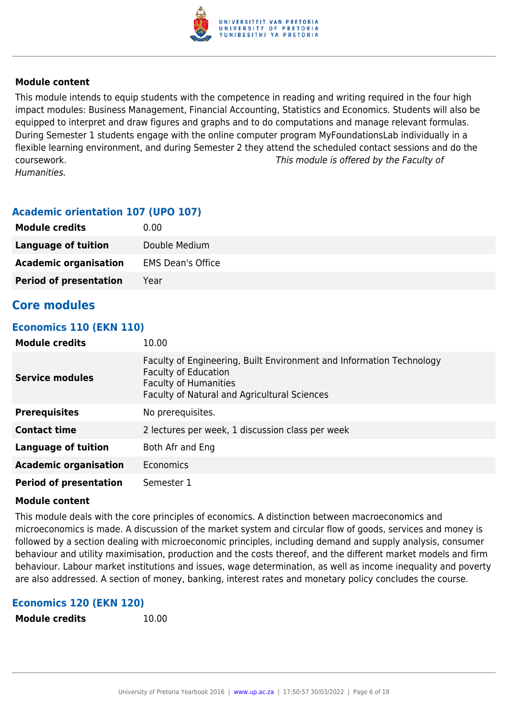

This module intends to equip students with the competence in reading and writing required in the four high impact modules: Business Management, Financial Accounting, Statistics and Economics. Students will also be equipped to interpret and draw figures and graphs and to do computations and manage relevant formulas. During Semester 1 students engage with the online computer program MyFoundationsLab individually in a flexible learning environment, and during Semester 2 they attend the scheduled contact sessions and do the coursework. This module is offered by the Faculty of Humanities.

#### **Academic orientation 107 (UPO 107)**

| <b>Module credits</b>         | 0.00                     |
|-------------------------------|--------------------------|
| Language of tuition           | Double Medium            |
| <b>Academic organisation</b>  | <b>EMS Dean's Office</b> |
| <b>Period of presentation</b> | Year                     |

## **Core modules**

#### **Economics 110 (EKN 110)**

| <b>Module credits</b>         | 10.00                                                                                                                                                                                      |
|-------------------------------|--------------------------------------------------------------------------------------------------------------------------------------------------------------------------------------------|
| <b>Service modules</b>        | Faculty of Engineering, Built Environment and Information Technology<br><b>Faculty of Education</b><br><b>Faculty of Humanities</b><br><b>Faculty of Natural and Agricultural Sciences</b> |
| <b>Prerequisites</b>          | No prerequisites.                                                                                                                                                                          |
| <b>Contact time</b>           | 2 lectures per week, 1 discussion class per week                                                                                                                                           |
| <b>Language of tuition</b>    | Both Afr and Eng                                                                                                                                                                           |
| <b>Academic organisation</b>  | Economics                                                                                                                                                                                  |
| <b>Period of presentation</b> | Semester 1                                                                                                                                                                                 |

#### **Module content**

This module deals with the core principles of economics. A distinction between macroeconomics and microeconomics is made. A discussion of the market system and circular flow of goods, services and money is followed by a section dealing with microeconomic principles, including demand and supply analysis, consumer behaviour and utility maximisation, production and the costs thereof, and the different market models and firm behaviour. Labour market institutions and issues, wage determination, as well as income inequality and poverty are also addressed. A section of money, banking, interest rates and monetary policy concludes the course.

#### **Economics 120 (EKN 120)**

```
Module credits 10.00
```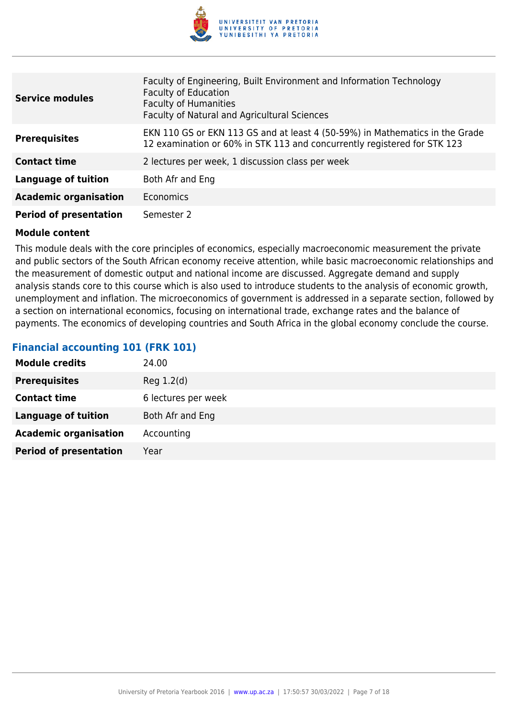

| <b>Service modules</b>        | Faculty of Engineering, Built Environment and Information Technology<br><b>Faculty of Education</b><br><b>Faculty of Humanities</b><br>Faculty of Natural and Agricultural Sciences |
|-------------------------------|-------------------------------------------------------------------------------------------------------------------------------------------------------------------------------------|
| <b>Prerequisites</b>          | EKN 110 GS or EKN 113 GS and at least 4 (50-59%) in Mathematics in the Grade<br>12 examination or 60% in STK 113 and concurrently registered for STK 123                            |
| <b>Contact time</b>           | 2 lectures per week, 1 discussion class per week                                                                                                                                    |
| <b>Language of tuition</b>    | Both Afr and Eng                                                                                                                                                                    |
| <b>Academic organisation</b>  | <b>Economics</b>                                                                                                                                                                    |
| <b>Period of presentation</b> | Semester 2                                                                                                                                                                          |

This module deals with the core principles of economics, especially macroeconomic measurement the private and public sectors of the South African economy receive attention, while basic macroeconomic relationships and the measurement of domestic output and national income are discussed. Aggregate demand and supply analysis stands core to this course which is also used to introduce students to the analysis of economic growth, unemployment and inflation. The microeconomics of government is addressed in a separate section, followed by a section on international economics, focusing on international trade, exchange rates and the balance of payments. The economics of developing countries and South Africa in the global economy conclude the course.

# **Financial accounting 101 (FRK 101)**

| <b>Module credits</b>         | 24.00               |
|-------------------------------|---------------------|
| <b>Prerequisites</b>          | Reg 1.2(d)          |
| <b>Contact time</b>           | 6 lectures per week |
| <b>Language of tuition</b>    | Both Afr and Eng    |
| <b>Academic organisation</b>  | Accounting          |
| <b>Period of presentation</b> | Year                |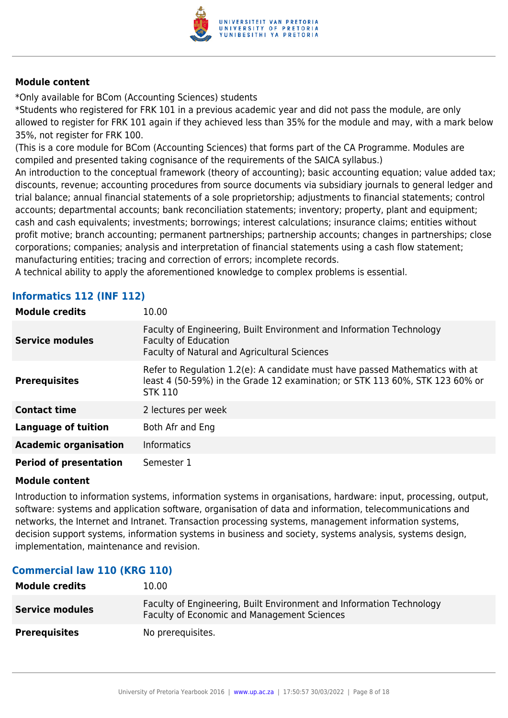

\*Only available for BCom (Accounting Sciences) students

\*Students who registered for FRK 101 in a previous academic year and did not pass the module, are only allowed to register for FRK 101 again if they achieved less than 35% for the module and may, with a mark below 35%, not register for FRK 100.

(This is a core module for BCom (Accounting Sciences) that forms part of the CA Programme. Modules are compiled and presented taking cognisance of the requirements of the SAICA syllabus.)

An introduction to the conceptual framework (theory of accounting); basic accounting equation; value added tax; discounts, revenue; accounting procedures from source documents via subsidiary journals to general ledger and trial balance; annual financial statements of a sole proprietorship; adjustments to financial statements; control accounts; departmental accounts; bank reconciliation statements; inventory; property, plant and equipment; cash and cash equivalents; investments; borrowings; interest calculations; insurance claims; entities without profit motive; branch accounting; permanent partnerships; partnership accounts; changes in partnerships; close corporations; companies; analysis and interpretation of financial statements using a cash flow statement; manufacturing entities; tracing and correction of errors; incomplete records.

A technical ability to apply the aforementioned knowledge to complex problems is essential.

# **Informatics 112 (INF 112)**

| <b>Module credits</b>         | 10.00                                                                                                                                                                          |
|-------------------------------|--------------------------------------------------------------------------------------------------------------------------------------------------------------------------------|
| <b>Service modules</b>        | Faculty of Engineering, Built Environment and Information Technology<br><b>Faculty of Education</b><br><b>Faculty of Natural and Agricultural Sciences</b>                     |
| <b>Prerequisites</b>          | Refer to Regulation 1.2(e): A candidate must have passed Mathematics with at<br>least 4 (50-59%) in the Grade 12 examination; or STK 113 60%, STK 123 60% or<br><b>STK 110</b> |
| <b>Contact time</b>           | 2 lectures per week                                                                                                                                                            |
| Language of tuition           | Both Afr and Eng                                                                                                                                                               |
| <b>Academic organisation</b>  | <b>Informatics</b>                                                                                                                                                             |
| <b>Period of presentation</b> | Semester 1                                                                                                                                                                     |

#### **Module content**

Introduction to information systems, information systems in organisations, hardware: input, processing, output, software: systems and application software, organisation of data and information, telecommunications and networks, the Internet and Intranet. Transaction processing systems, management information systems, decision support systems, information systems in business and society, systems analysis, systems design, implementation, maintenance and revision.

### **Commercial law 110 (KRG 110)**

| <b>Module credits</b>  | 10.00                                                                                                               |
|------------------------|---------------------------------------------------------------------------------------------------------------------|
| <b>Service modules</b> | Faculty of Engineering, Built Environment and Information Technology<br>Faculty of Economic and Management Sciences |
| <b>Prerequisites</b>   | No prerequisites.                                                                                                   |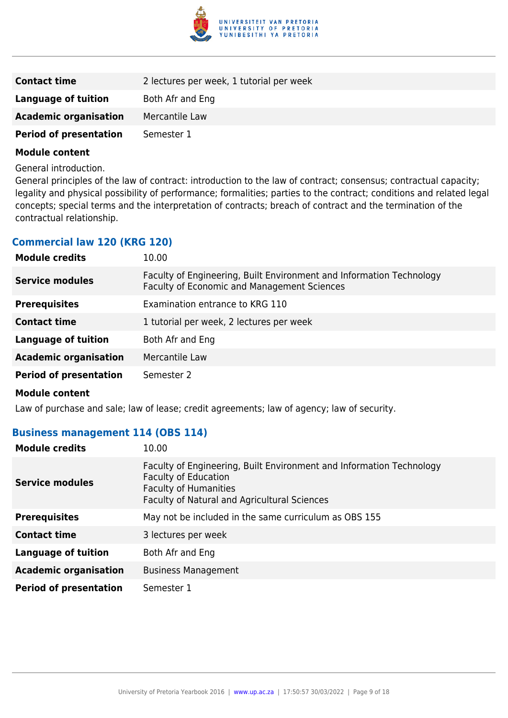

| <b>Contact time</b>           | 2 lectures per week, 1 tutorial per week |
|-------------------------------|------------------------------------------|
| Language of tuition           | Both Afr and Eng                         |
| <b>Academic organisation</b>  | Mercantile Law                           |
| <b>Period of presentation</b> | Semester 1                               |

General introduction.

General principles of the law of contract: introduction to the law of contract; consensus; contractual capacity; legality and physical possibility of performance; formalities; parties to the contract; conditions and related legal concepts; special terms and the interpretation of contracts; breach of contract and the termination of the contractual relationship.

### **Commercial law 120 (KRG 120)**

| <b>Module credits</b>         | 10.00                                                                                                               |
|-------------------------------|---------------------------------------------------------------------------------------------------------------------|
| <b>Service modules</b>        | Faculty of Engineering, Built Environment and Information Technology<br>Faculty of Economic and Management Sciences |
| <b>Prerequisites</b>          | Examination entrance to KRG 110                                                                                     |
| <b>Contact time</b>           | 1 tutorial per week, 2 lectures per week                                                                            |
| <b>Language of tuition</b>    | Both Afr and Eng                                                                                                    |
| <b>Academic organisation</b>  | Mercantile Law                                                                                                      |
| <b>Period of presentation</b> | Semester 2                                                                                                          |
|                               |                                                                                                                     |

**Module content**

Law of purchase and sale; law of lease; credit agreements; law of agency; law of security.

#### **Business management 114 (OBS 114)**

| <b>Module credits</b>         | 10.00                                                                                                                                                                                      |
|-------------------------------|--------------------------------------------------------------------------------------------------------------------------------------------------------------------------------------------|
| <b>Service modules</b>        | Faculty of Engineering, Built Environment and Information Technology<br><b>Faculty of Education</b><br><b>Faculty of Humanities</b><br><b>Faculty of Natural and Agricultural Sciences</b> |
| <b>Prerequisites</b>          | May not be included in the same curriculum as OBS 155                                                                                                                                      |
| <b>Contact time</b>           | 3 lectures per week                                                                                                                                                                        |
| Language of tuition           | Both Afr and Eng                                                                                                                                                                           |
| <b>Academic organisation</b>  | <b>Business Management</b>                                                                                                                                                                 |
| <b>Period of presentation</b> | Semester 1                                                                                                                                                                                 |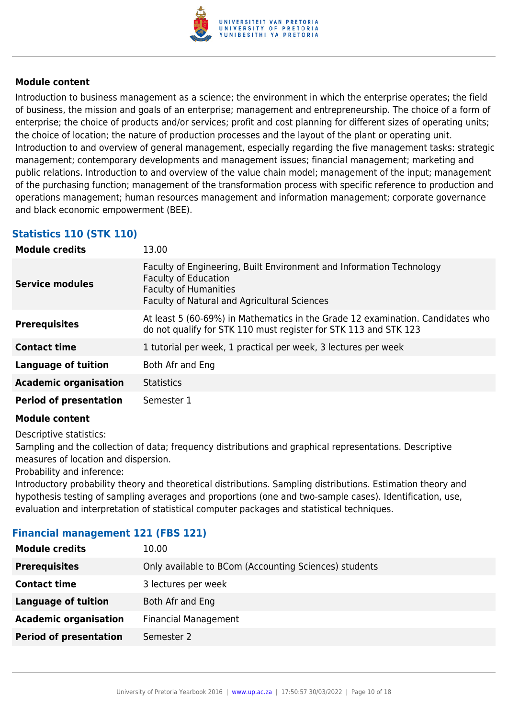

Introduction to business management as a science; the environment in which the enterprise operates; the field of business, the mission and goals of an enterprise; management and entrepreneurship. The choice of a form of enterprise; the choice of products and/or services; profit and cost planning for different sizes of operating units; the choice of location; the nature of production processes and the layout of the plant or operating unit. Introduction to and overview of general management, especially regarding the five management tasks: strategic management; contemporary developments and management issues; financial management; marketing and public relations. Introduction to and overview of the value chain model; management of the input; management of the purchasing function; management of the transformation process with specific reference to production and operations management; human resources management and information management; corporate governance and black economic empowerment (BEE).

# **Statistics 110 (STK 110)**

| <b>Module credits</b>         | 13.00                                                                                                                                                                                      |
|-------------------------------|--------------------------------------------------------------------------------------------------------------------------------------------------------------------------------------------|
| <b>Service modules</b>        | Faculty of Engineering, Built Environment and Information Technology<br><b>Faculty of Education</b><br><b>Faculty of Humanities</b><br><b>Faculty of Natural and Agricultural Sciences</b> |
| <b>Prerequisites</b>          | At least 5 (60-69%) in Mathematics in the Grade 12 examination. Candidates who<br>do not qualify for STK 110 must register for STK 113 and STK 123                                         |
| <b>Contact time</b>           | 1 tutorial per week, 1 practical per week, 3 lectures per week                                                                                                                             |
| <b>Language of tuition</b>    | Both Afr and Eng                                                                                                                                                                           |
| <b>Academic organisation</b>  | <b>Statistics</b>                                                                                                                                                                          |
| <b>Period of presentation</b> | Semester 1                                                                                                                                                                                 |

#### **Module content**

Descriptive statistics:

Sampling and the collection of data; frequency distributions and graphical representations. Descriptive measures of location and dispersion.

Probability and inference:

Introductory probability theory and theoretical distributions. Sampling distributions. Estimation theory and hypothesis testing of sampling averages and proportions (one and two-sample cases). Identification, use, evaluation and interpretation of statistical computer packages and statistical techniques.

### **Financial management 121 (FBS 121)**

| <b>Module credits</b>         | 10.00                                                 |
|-------------------------------|-------------------------------------------------------|
| <b>Prerequisites</b>          | Only available to BCom (Accounting Sciences) students |
| <b>Contact time</b>           | 3 lectures per week                                   |
| <b>Language of tuition</b>    | Both Afr and Eng                                      |
| <b>Academic organisation</b>  | <b>Financial Management</b>                           |
| <b>Period of presentation</b> | Semester 2                                            |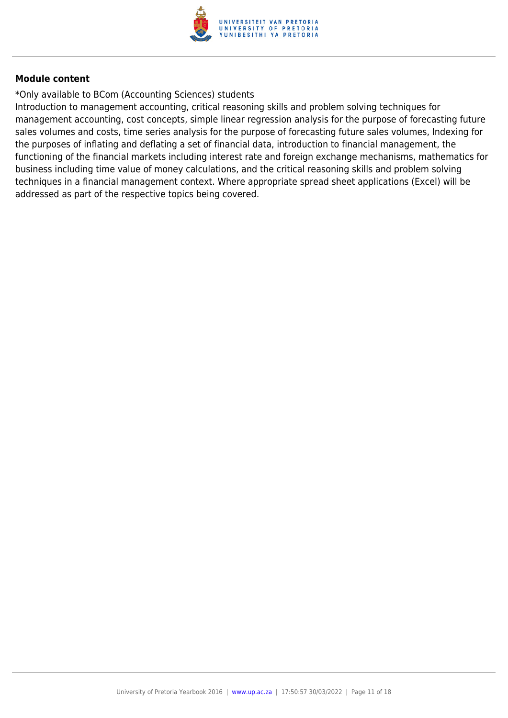

\*Only available to BCom (Accounting Sciences) students

Introduction to management accounting, critical reasoning skills and problem solving techniques for management accounting, cost concepts, simple linear regression analysis for the purpose of forecasting future sales volumes and costs, time series analysis for the purpose of forecasting future sales volumes, Indexing for the purposes of inflating and deflating a set of financial data, introduction to financial management, the functioning of the financial markets including interest rate and foreign exchange mechanisms, mathematics for business including time value of money calculations, and the critical reasoning skills and problem solving techniques in a financial management context. Where appropriate spread sheet applications (Excel) will be addressed as part of the respective topics being covered.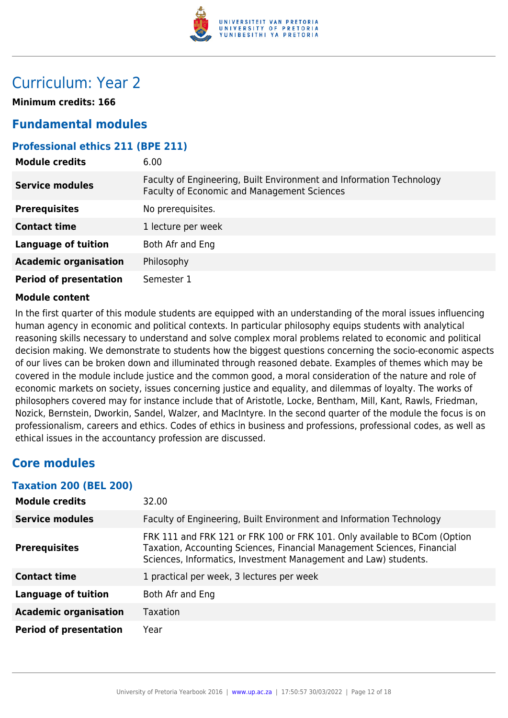

# Curriculum: Year 2

**Minimum credits: 166**

# **Fundamental modules**

### **Professional ethics 211 (BPE 211)**

| <b>Module credits</b>         | 6.00                                                                                                                       |
|-------------------------------|----------------------------------------------------------------------------------------------------------------------------|
| <b>Service modules</b>        | Faculty of Engineering, Built Environment and Information Technology<br><b>Faculty of Economic and Management Sciences</b> |
| <b>Prerequisites</b>          | No prerequisites.                                                                                                          |
| <b>Contact time</b>           | 1 lecture per week                                                                                                         |
| <b>Language of tuition</b>    | Both Afr and Eng                                                                                                           |
| <b>Academic organisation</b>  | Philosophy                                                                                                                 |
| <b>Period of presentation</b> | Semester 1                                                                                                                 |

#### **Module content**

In the first quarter of this module students are equipped with an understanding of the moral issues influencing human agency in economic and political contexts. In particular philosophy equips students with analytical reasoning skills necessary to understand and solve complex moral problems related to economic and political decision making. We demonstrate to students how the biggest questions concerning the socio-economic aspects of our lives can be broken down and illuminated through reasoned debate. Examples of themes which may be covered in the module include justice and the common good, a moral consideration of the nature and role of economic markets on society, issues concerning justice and equality, and dilemmas of loyalty. The works of philosophers covered may for instance include that of Aristotle, Locke, Bentham, Mill, Kant, Rawls, Friedman, Nozick, Bernstein, Dworkin, Sandel, Walzer, and MacIntyre. In the second quarter of the module the focus is on professionalism, careers and ethics. Codes of ethics in business and professions, professional codes, as well as ethical issues in the accountancy profession are discussed.

# **Core modules**

#### **Taxation 200 (BEL 200)**

| <b>Module credits</b>         | 32.00                                                                                                                                                                                                                   |
|-------------------------------|-------------------------------------------------------------------------------------------------------------------------------------------------------------------------------------------------------------------------|
| <b>Service modules</b>        | Faculty of Engineering, Built Environment and Information Technology                                                                                                                                                    |
| <b>Prerequisites</b>          | FRK 111 and FRK 121 or FRK 100 or FRK 101. Only available to BCom (Option<br>Taxation, Accounting Sciences, Financial Management Sciences, Financial<br>Sciences, Informatics, Investment Management and Law) students. |
| <b>Contact time</b>           | 1 practical per week, 3 lectures per week                                                                                                                                                                               |
| <b>Language of tuition</b>    | Both Afr and Eng                                                                                                                                                                                                        |
| <b>Academic organisation</b>  | <b>Taxation</b>                                                                                                                                                                                                         |
| <b>Period of presentation</b> | Year                                                                                                                                                                                                                    |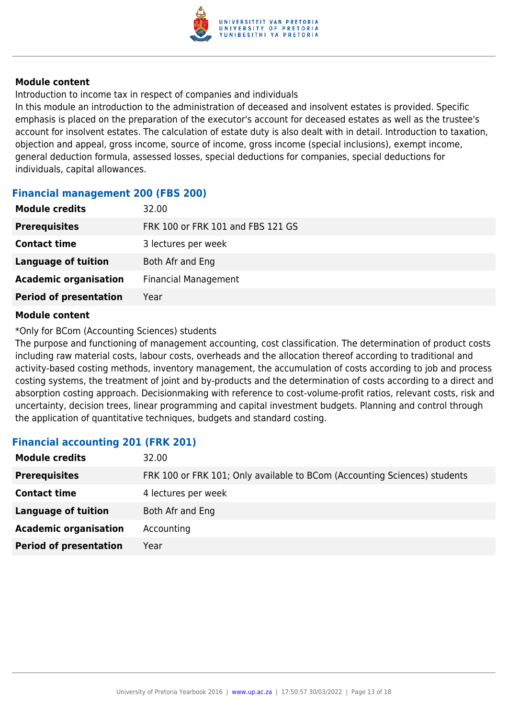

Introduction to income tax in respect of companies and individuals

In this module an introduction to the administration of deceased and insolvent estates is provided. Specific emphasis is placed on the preparation of the executor's account for deceased estates as well as the trustee's account for insolvent estates. The calculation of estate duty is also dealt with in detail. Introduction to taxation, objection and appeal, gross income, source of income, gross income (special inclusions), exempt income, general deduction formula, assessed losses, special deductions for companies, special deductions for individuals, capital allowances.

#### **Financial management 200 (FBS 200)**

| <b>Module credits</b>         | 32.00                             |
|-------------------------------|-----------------------------------|
| <b>Prerequisites</b>          | FRK 100 or FRK 101 and FBS 121 GS |
| <b>Contact time</b>           | 3 lectures per week               |
| <b>Language of tuition</b>    | Both Afr and Eng                  |
| <b>Academic organisation</b>  | <b>Financial Management</b>       |
| <b>Period of presentation</b> | Year                              |

#### **Module content**

#### \*Only for BCom (Accounting Sciences) students

The purpose and functioning of management accounting, cost classification. The determination of product costs including raw material costs, labour costs, overheads and the allocation thereof according to traditional and activity-based costing methods, inventory management, the accumulation of costs according to job and process costing systems, the treatment of joint and by-products and the determination of costs according to a direct and absorption costing approach. Decisionmaking with reference to cost-volume-profit ratios, relevant costs, risk and uncertainty, decision trees, linear programming and capital investment budgets. Planning and control through the application of quantitative techniques, budgets and standard costing.

### **Financial accounting 201 (FRK 201)**

| <b>Module credits</b>         | 32.00                                                                     |
|-------------------------------|---------------------------------------------------------------------------|
| <b>Prerequisites</b>          | FRK 100 or FRK 101; Only available to BCom (Accounting Sciences) students |
| <b>Contact time</b>           | 4 lectures per week                                                       |
| <b>Language of tuition</b>    | Both Afr and Eng                                                          |
| <b>Academic organisation</b>  | Accounting                                                                |
| <b>Period of presentation</b> | Year                                                                      |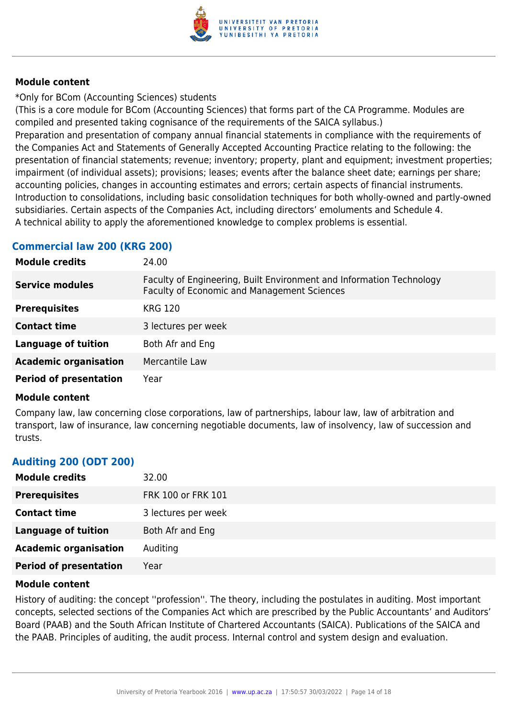

\*Only for BCom (Accounting Sciences) students

(This is a core module for BCom (Accounting Sciences) that forms part of the CA Programme. Modules are compiled and presented taking cognisance of the requirements of the SAICA syllabus.)

Preparation and presentation of company annual financial statements in compliance with the requirements of the Companies Act and Statements of Generally Accepted Accounting Practice relating to the following: the presentation of financial statements; revenue; inventory; property, plant and equipment; investment properties; impairment (of individual assets); provisions; leases; events after the balance sheet date; earnings per share; accounting policies, changes in accounting estimates and errors; certain aspects of financial instruments. Introduction to consolidations, including basic consolidation techniques for both wholly-owned and partly-owned subsidiaries. Certain aspects of the Companies Act, including directors' emoluments and Schedule 4. A technical ability to apply the aforementioned knowledge to complex problems is essential.

## **Commercial law 200 (KRG 200)**

| <b>Module credits</b>         | 24.00                                                                                                               |
|-------------------------------|---------------------------------------------------------------------------------------------------------------------|
| <b>Service modules</b>        | Faculty of Engineering, Built Environment and Information Technology<br>Faculty of Economic and Management Sciences |
| <b>Prerequisites</b>          | <b>KRG 120</b>                                                                                                      |
| <b>Contact time</b>           | 3 lectures per week                                                                                                 |
| <b>Language of tuition</b>    | Both Afr and Eng                                                                                                    |
| <b>Academic organisation</b>  | Mercantile Law                                                                                                      |
| <b>Period of presentation</b> | Year                                                                                                                |

#### **Module content**

Company law, law concerning close corporations, law of partnerships, labour law, law of arbitration and transport, law of insurance, law concerning negotiable documents, law of insolvency, law of succession and trusts.

### **Auditing 200 (ODT 200)**

| <b>Module credits</b>         | 32.00               |
|-------------------------------|---------------------|
| <b>Prerequisites</b>          | FRK 100 or FRK 101  |
| <b>Contact time</b>           | 3 lectures per week |
| <b>Language of tuition</b>    | Both Afr and Eng    |
| <b>Academic organisation</b>  | Auditing            |
| <b>Period of presentation</b> | Year                |

#### **Module content**

History of auditing: the concept ''profession''. The theory, including the postulates in auditing. Most important concepts, selected sections of the Companies Act which are prescribed by the Public Accountants' and Auditors' Board (PAAB) and the South African Institute of Chartered Accountants (SAICA). Publications of the SAICA and the PAAB. Principles of auditing, the audit process. Internal control and system design and evaluation.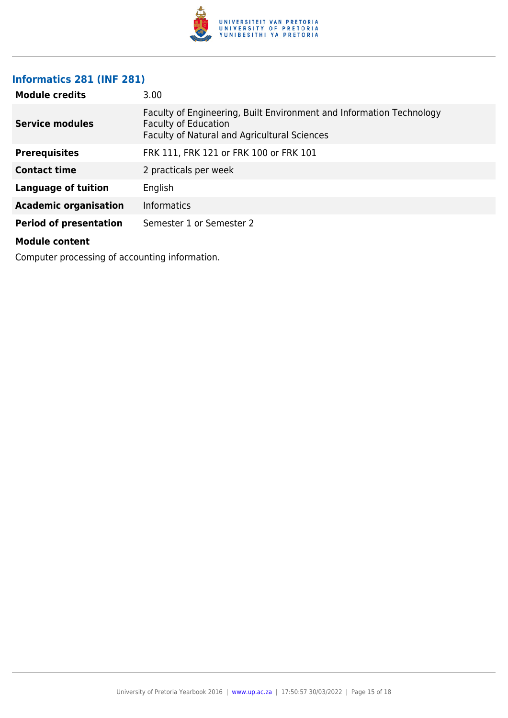

# **Informatics 281 (INF 281)**

| <b>Module credits</b>         | 3.00                                                                                                                                                       |
|-------------------------------|------------------------------------------------------------------------------------------------------------------------------------------------------------|
| <b>Service modules</b>        | Faculty of Engineering, Built Environment and Information Technology<br><b>Faculty of Education</b><br><b>Faculty of Natural and Agricultural Sciences</b> |
| <b>Prerequisites</b>          | FRK 111, FRK 121 or FRK 100 or FRK 101                                                                                                                     |
| <b>Contact time</b>           | 2 practicals per week                                                                                                                                      |
| <b>Language of tuition</b>    | English                                                                                                                                                    |
| <b>Academic organisation</b>  | <b>Informatics</b>                                                                                                                                         |
| <b>Period of presentation</b> | Semester 1 or Semester 2                                                                                                                                   |
| <b>Module content</b>         |                                                                                                                                                            |

Computer processing of accounting information.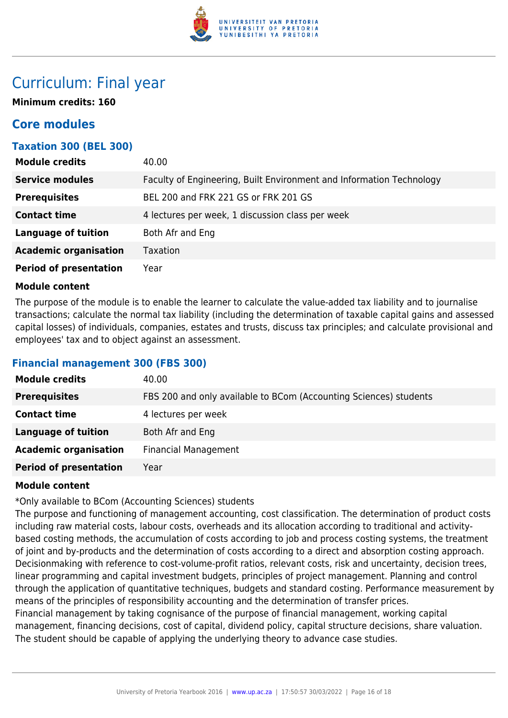

# Curriculum: Final year

**Minimum credits: 160**

# **Core modules**

## **Taxation 300 (BEL 300)**

| <b>Module credits</b>         | 40.00                                                                |
|-------------------------------|----------------------------------------------------------------------|
| <b>Service modules</b>        | Faculty of Engineering, Built Environment and Information Technology |
| <b>Prerequisites</b>          | BEL 200 and FRK 221 GS or FRK 201 GS                                 |
| <b>Contact time</b>           | 4 lectures per week, 1 discussion class per week                     |
| <b>Language of tuition</b>    | Both Afr and Eng                                                     |
| <b>Academic organisation</b>  | Taxation                                                             |
| <b>Period of presentation</b> | Year                                                                 |

#### **Module content**

The purpose of the module is to enable the learner to calculate the value-added tax liability and to journalise transactions; calculate the normal tax liability (including the determination of taxable capital gains and assessed capital losses) of individuals, companies, estates and trusts, discuss tax principles; and calculate provisional and employees' tax and to object against an assessment.

### **Financial management 300 (FBS 300)**

| <b>Module credits</b>         | 40.00                                                             |
|-------------------------------|-------------------------------------------------------------------|
| <b>Prerequisites</b>          | FBS 200 and only available to BCom (Accounting Sciences) students |
| <b>Contact time</b>           | 4 lectures per week                                               |
| <b>Language of tuition</b>    | Both Afr and Eng                                                  |
| <b>Academic organisation</b>  | <b>Financial Management</b>                                       |
| <b>Period of presentation</b> | Year                                                              |

#### **Module content**

\*Only available to BCom (Accounting Sciences) students

The purpose and functioning of management accounting, cost classification. The determination of product costs including raw material costs, labour costs, overheads and its allocation according to traditional and activitybased costing methods, the accumulation of costs according to job and process costing systems, the treatment of joint and by-products and the determination of costs according to a direct and absorption costing approach. Decisionmaking with reference to cost-volume-profit ratios, relevant costs, risk and uncertainty, decision trees, linear programming and capital investment budgets, principles of project management. Planning and control through the application of quantitative techniques, budgets and standard costing. Performance measurement by means of the principles of responsibility accounting and the determination of transfer prices. Financial management by taking cognisance of the purpose of financial management, working capital management, financing decisions, cost of capital, dividend policy, capital structure decisions, share valuation. The student should be capable of applying the underlying theory to advance case studies.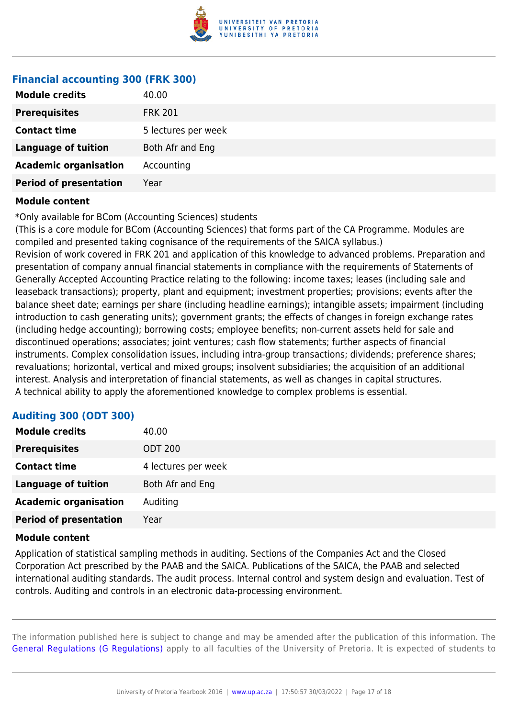

#### **Financial accounting 300 (FRK 300)**

| <b>Prerequisites</b><br><b>FRK 201</b><br><b>Contact time</b><br>5 lectures per week<br><b>Language of tuition</b><br>Both Afr and Eng<br><b>Academic organisation</b><br>Accounting<br>Year | <b>Module credits</b>         | 40.00 |
|----------------------------------------------------------------------------------------------------------------------------------------------------------------------------------------------|-------------------------------|-------|
|                                                                                                                                                                                              |                               |       |
|                                                                                                                                                                                              |                               |       |
|                                                                                                                                                                                              |                               |       |
|                                                                                                                                                                                              |                               |       |
|                                                                                                                                                                                              | <b>Period of presentation</b> |       |

#### **Module content**

\*Only available for BCom (Accounting Sciences) students

(This is a core module for BCom (Accounting Sciences) that forms part of the CA Programme. Modules are compiled and presented taking cognisance of the requirements of the SAICA syllabus.) Revision of work covered in FRK 201 and application of this knowledge to advanced problems. Preparation and presentation of company annual financial statements in compliance with the requirements of Statements of Generally Accepted Accounting Practice relating to the following: income taxes; leases (including sale and leaseback transactions); property, plant and equipment; investment properties; provisions; events after the balance sheet date; earnings per share (including headline earnings); intangible assets; impairment (including introduction to cash generating units); government grants; the effects of changes in foreign exchange rates (including hedge accounting); borrowing costs; employee benefits; non-current assets held for sale and discontinued operations; associates; joint ventures; cash flow statements; further aspects of financial instruments. Complex consolidation issues, including intra-group transactions; dividends; preference shares; revaluations; horizontal, vertical and mixed groups; insolvent subsidiaries; the acquisition of an additional interest. Analysis and interpretation of financial statements, as well as changes in capital structures. A technical ability to apply the aforementioned knowledge to complex problems is essential.

### **Auditing 300 (ODT 300)**

| <b>Module credits</b>         | 40.00               |
|-------------------------------|---------------------|
| <b>Prerequisites</b>          | <b>ODT 200</b>      |
| <b>Contact time</b>           | 4 lectures per week |
| <b>Language of tuition</b>    | Both Afr and Eng    |
| <b>Academic organisation</b>  | Auditing            |
| <b>Period of presentation</b> | Year                |

#### **Module content**

Application of statistical sampling methods in auditing. Sections of the Companies Act and the Closed Corporation Act prescribed by the PAAB and the SAICA. Publications of the SAICA, the PAAB and selected international auditing standards. The audit process. Internal control and system design and evaluation. Test of controls. Auditing and controls in an electronic data-processing environment.

The information published here is subject to change and may be amended after the publication of this information. The [General Regulations \(G Regulations\)](https://www.up.ac.za/yearbooks/2016/rules/view/REG) apply to all faculties of the University of Pretoria. It is expected of students to